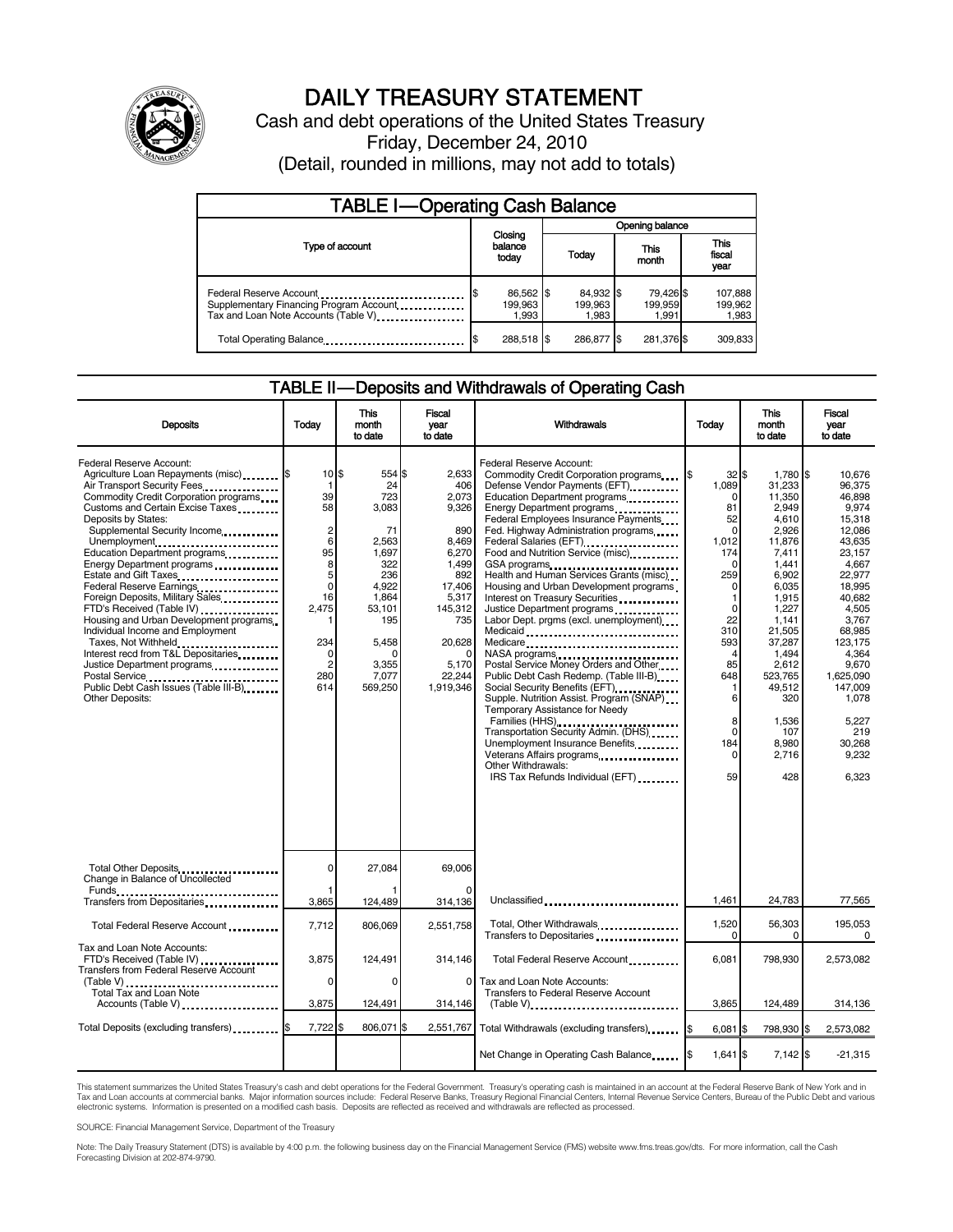

# DAILY TREASURY STATEMENT

Cash and debt operations of the United States Treasury Friday, December 24, 2010 (Detail, rounded in millions, may not add to totals)

| <b>TABLE I-Operating Cash Balance</b>                                                                      |                               |                               |                               |                               |  |
|------------------------------------------------------------------------------------------------------------|-------------------------------|-------------------------------|-------------------------------|-------------------------------|--|
|                                                                                                            |                               | Opening balance               |                               |                               |  |
| Type of account                                                                                            | Closing<br>balance<br>today   | Today                         | This<br>month                 | <b>This</b><br>fiscal<br>year |  |
| Federal Reserve Account<br>Supplementary Financing Program Account<br>Tax and Loan Note Accounts (Table V) | 86,562 \$<br>199,963<br>1,993 | 84,932 \$<br>199.963<br>1.983 | 79,426 \$<br>199,959<br>1.991 | 107,888<br>199,962<br>1,983   |  |
| Total Operating Balance                                                                                    | 288,518 \$                    | 286.877 \$                    | 281,376 \$                    | 309.833                       |  |

#### TABLE II — Deposits and Withdrawals of Operating Cash

| <b>Deposits</b>                                                                                                                                                                                                                                                                                                                                                                                                                                                                                                                                                                                                                                                                                                  | Today                                                                                                                                                              | This<br>month<br>to date                                                                                                                         | Fiscal<br>year<br>to date                                                                                                                              | Withdrawals                                                                                                                                                                                                                                                                                                                                                                                                                                                                                                                                                                                                                                                                                                                                                                                                                                                                                                                                                                                                                                                                            | Today                                                                                                                                                                                                                    | <b>This</b><br>month<br>to date                                                                                                                                                                                                             | Fiscal<br>year<br>to date                                                                                                                                                                                                                                |
|------------------------------------------------------------------------------------------------------------------------------------------------------------------------------------------------------------------------------------------------------------------------------------------------------------------------------------------------------------------------------------------------------------------------------------------------------------------------------------------------------------------------------------------------------------------------------------------------------------------------------------------------------------------------------------------------------------------|--------------------------------------------------------------------------------------------------------------------------------------------------------------------|--------------------------------------------------------------------------------------------------------------------------------------------------|--------------------------------------------------------------------------------------------------------------------------------------------------------|----------------------------------------------------------------------------------------------------------------------------------------------------------------------------------------------------------------------------------------------------------------------------------------------------------------------------------------------------------------------------------------------------------------------------------------------------------------------------------------------------------------------------------------------------------------------------------------------------------------------------------------------------------------------------------------------------------------------------------------------------------------------------------------------------------------------------------------------------------------------------------------------------------------------------------------------------------------------------------------------------------------------------------------------------------------------------------------|--------------------------------------------------------------------------------------------------------------------------------------------------------------------------------------------------------------------------|---------------------------------------------------------------------------------------------------------------------------------------------------------------------------------------------------------------------------------------------|----------------------------------------------------------------------------------------------------------------------------------------------------------------------------------------------------------------------------------------------------------|
| <b>Federal Reserve Account:</b><br>Agriculture Loan Repayments (misc) [\$<br>Air Transport Security Fees<br>Commodity Credit Corporation programs<br>Customs and Certain Excise Taxes<br>Deposits by States:<br>Supplemental Security Income<br>Unemployment<br>Education Department programs<br>Energy Department programs<br>Estate and Gift Taxes<br>Federal Reserve Earnings<br>Foreign Deposits, Military Sales<br>FTD's Received (Table IV) <b>[19] [19]</b><br>Housing and Urban Development programs<br>Individual Income and Employment<br>Taxes, Not Withheld<br>Interest recd from T&L Depositaries<br>Justice Department programs<br>Public Debt Cash Issues (Table III-B)<br><b>Other Deposits:</b> | $10$ $\frac{1}{3}$<br>1<br>39<br>58<br>$\overline{\mathbf{c}}$<br>6<br>95<br>8<br>5<br>$\mathbf 0$<br>16<br>2,475<br>1<br>234<br>0<br>$\overline{2}$<br>280<br>614 | 554 \$<br>24<br>723<br>3,083<br>71<br>2,563<br>1.697<br>322<br>236<br>4.922<br>1,864<br>53,101<br>195<br>5,458<br>O<br>3,355<br>7.077<br>569,250 | 2.633<br>406<br>2.073<br>9,326<br>890<br>8,469<br>6,270<br>1,499<br>892<br>17,406<br>5,317<br>145,312<br>735<br>20,628<br>5,170<br>22.244<br>1,919,346 | Federal Reserve Account:<br>Commodity Credit Corporation programs<br>Defense Vendor Payments (EFT)<br>Education Department programs<br>Energy Department programs<br>Federal Employees Insurance Payments<br>Fed. Highway Administration programs<br>Federal Salaries (EFT)<br>1999: 1999: 1999: 1999: 1999: 1999: 1999: 1999: 1999: 1999: 1999: 1999: 1999: 1999: 1999: 1999: 1999: 1999: 1<br>Food and Nutrition Service (misc)<br>GSA programs<br>Health and Human Services Grants (misc)<br>Housing and Urban Development programs<br>Interest on Treasury Securities<br>Justice Department programs<br>Labor Dept. prgms (excl. unemployment)<br>Medicaid<br>Medicare<br>NASA programs<br>Postal Service Money Orders and Other<br>Public Debt Cash Redemp. (Table III-B)<br>Social Security Benefits (EFT)<br>Supple. Nutrition Assist. Program (SNAP)<br>Temporary Assistance for Needy<br>Families (HHS)<br>Transportation Security Admin. (DHS)<br>Unemployment Insurance Benefits<br>Veterans Affairs programs<br><br>Other Withdrawals:<br>IRS Tax Refunds Individual (EFT) | $32$ $\bar{s}$<br>1\$<br>1,089<br><sup>0</sup><br>81<br>52<br>$\Omega$<br>1.012<br>174<br>ŋ<br>259<br><sup>0</sup><br>1<br>$\Omega$<br>22<br>310<br>593<br>4<br>85<br>648<br>6<br>8<br>$\Omega$<br>184<br>$\Omega$<br>59 | 1,780 \$<br>31,233<br>11,350<br>2,949<br>4,610<br>2,926<br>11,876<br>7,411<br>1,441<br>6,902<br>6,035<br>1,915<br>1,227<br>1,141<br>21,505<br>37,287<br>1,494<br>2,612<br>523.765<br>49,512<br>320<br>1,536<br>107<br>8.980<br>2,716<br>428 | 10.676<br>96,375<br>46.898<br>9,974<br>15,318<br>12,086<br>43.635<br>23.157<br>4,667<br>22,977<br>18.995<br>40.682<br>4,505<br>3.767<br>68.985<br>123.175<br>4,364<br>9,670<br>1.625.090<br>147.009<br>1.078<br>5.227<br>219<br>30.268<br>9,232<br>6,323 |
| Total Other Deposits<br>Change in Balance of Uncollected                                                                                                                                                                                                                                                                                                                                                                                                                                                                                                                                                                                                                                                         | $\mathbf 0$                                                                                                                                                        | 27,084                                                                                                                                           | 69,006                                                                                                                                                 |                                                                                                                                                                                                                                                                                                                                                                                                                                                                                                                                                                                                                                                                                                                                                                                                                                                                                                                                                                                                                                                                                        |                                                                                                                                                                                                                          |                                                                                                                                                                                                                                             |                                                                                                                                                                                                                                                          |
|                                                                                                                                                                                                                                                                                                                                                                                                                                                                                                                                                                                                                                                                                                                  | 3,865                                                                                                                                                              | 124,489                                                                                                                                          | 314,136                                                                                                                                                | Unclassified                                                                                                                                                                                                                                                                                                                                                                                                                                                                                                                                                                                                                                                                                                                                                                                                                                                                                                                                                                                                                                                                           | 1.461                                                                                                                                                                                                                    | 24,783                                                                                                                                                                                                                                      | 77,565                                                                                                                                                                                                                                                   |
| Total Federal Reserve Account                                                                                                                                                                                                                                                                                                                                                                                                                                                                                                                                                                                                                                                                                    | 7,712                                                                                                                                                              | 806,069                                                                                                                                          | 2,551,758                                                                                                                                              | Total, Other Withdrawals<br>Transfers to Depositaries                                                                                                                                                                                                                                                                                                                                                                                                                                                                                                                                                                                                                                                                                                                                                                                                                                                                                                                                                                                                                                  | 1,520<br>$\Omega$                                                                                                                                                                                                        | 56,303<br>0                                                                                                                                                                                                                                 | 195,053<br>$\Omega$                                                                                                                                                                                                                                      |
| Tax and Loan Note Accounts:<br>FTD's Received (Table IV)<br>Transfers from Federal Reserve Account<br>(Table V)<br>Total Tax and Loan Note<br>Accounts (Table V)                                                                                                                                                                                                                                                                                                                                                                                                                                                                                                                                                 | 3,875<br>$\Omega$<br>3,875                                                                                                                                         | 124,491<br>$\Omega$<br>124,491                                                                                                                   | 314,146<br>0<br>314,146                                                                                                                                | Total Federal Reserve Account<br>Tax and Loan Note Accounts:<br>Transfers to Federal Reserve Account<br>$(Table V)$ ,                                                                                                                                                                                                                                                                                                                                                                                                                                                                                                                                                                                                                                                                                                                                                                                                                                                                                                                                                                  | 6,081<br>3,865                                                                                                                                                                                                           | 798,930<br>124,489                                                                                                                                                                                                                          | 2,573,082<br>314,136                                                                                                                                                                                                                                     |
| Total Deposits (excluding transfers) [5                                                                                                                                                                                                                                                                                                                                                                                                                                                                                                                                                                                                                                                                          | 7,722                                                                                                                                                              | 806,071                                                                                                                                          | \$<br>2,551,767                                                                                                                                        | Total Withdrawals (excluding transfers) [\$                                                                                                                                                                                                                                                                                                                                                                                                                                                                                                                                                                                                                                                                                                                                                                                                                                                                                                                                                                                                                                            | 6,081 \$                                                                                                                                                                                                                 | 798,930 \$                                                                                                                                                                                                                                  | 2,573,082                                                                                                                                                                                                                                                |
|                                                                                                                                                                                                                                                                                                                                                                                                                                                                                                                                                                                                                                                                                                                  |                                                                                                                                                                    |                                                                                                                                                  |                                                                                                                                                        | Net Change in Operating Cash Balance                                                                                                                                                                                                                                                                                                                                                                                                                                                                                                                                                                                                                                                                                                                                                                                                                                                                                                                                                                                                                                                   | 1,641 \$                                                                                                                                                                                                                 | $7,142$ \$                                                                                                                                                                                                                                  | $-21,315$                                                                                                                                                                                                                                                |

This statement summarizes the United States Treasury's cash and debt operations for the Federal Government. Treasury's operating cash is maintained in an account at the Federal Reserve Bank of New York and in<br>Tax and Loan electronic systems. Information is presented on a modified cash basis. Deposits are reflected as received and withdrawals are reflected as processed.

SOURCE: Financial Management Service, Department of the Treasury

Note: The Daily Treasury Statement (DTS) is available by 4:00 p.m. the following business day on the Financial Management Service (FMS) website www.fms.treas.gov/dts. For more information, call the Cash Forecasting Division at 202-874-9790.